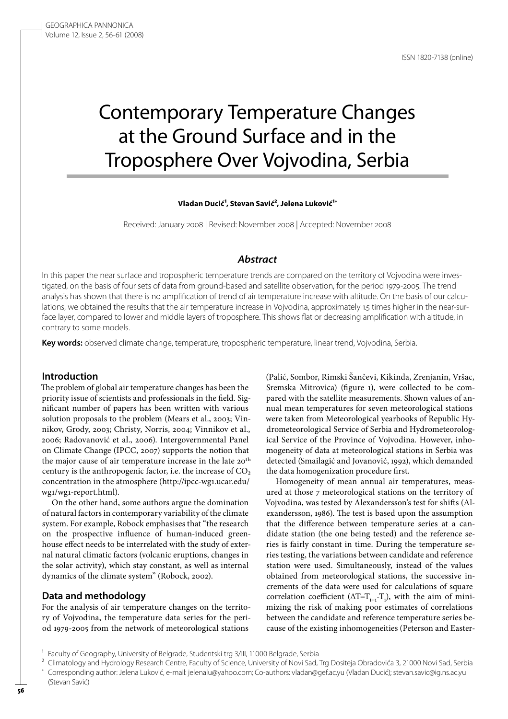# Contemporary Temperature Changes at the Ground Surface and in the Troposphere Over Vojvodina, Serbia

**Vladan Ducić1, Stevan Savić2, Jelena Luković1 \***

Received: January 2008 | Revised: November 2008 | Accepted: November 2008

## *Abstract*

In this paper the near surface and tropospheric temperature trends are compared on the territory of Vojvodina were investigated, on the basis of four sets of data from ground-based and satellite observation, for the period 1979-2005. The trend analysis has shown that there is no amplification of trend of air temperature increase with altitude. On the basis of our calculations, we obtained the results that the air temperature increase in Vojvodina, approximately 1.5 times higher in the near-surface layer, compared to lower and middle layers of troposphere. This shows flat or decreasing amplification with altitude, in contrary to some models.

**Key words:** observed climate change, temperature, tropospheric temperature, linear trend, Vojvodina, Serbia.

#### **Introduction**

The problem of global air temperature changes has been the priority issue of scientists and professionals in the field. Significant number of papers has been written with various solution proposals to the problem (Mears et al., 2003; Vinnikov, Grody, 2003; Christy, Norris, 2004; Vinnikov et al., 2006; Radovanović et al., 2006). Intergovernmental Panel on Climate Change (IPCC, 2007) supports the notion that the major cause of air temperature increase in the late 20th century is the anthropogenic factor, i.e. the increase of  $CO<sub>2</sub>$ concentration in the atmosphere (http://ipcc-wg1.ucar.edu/ wg1/wg1-report.html).

On the other hand, some authors argue the domination of natural factors in contemporary variability of the climate system. For example, Robock emphasises that "the research on the prospective influence of human-induced greenhouse effect needs to be interrelated with the study of external natural climatic factors (volcanic eruptions, changes in the solar activity), which stay constant, as well as internal dynamics of the climate system" (Robock, 2002).

#### **Data and methodology**

(Stevan Savić)

For the analysis of air temperature changes on the territory of Vojvodina, the temperature data series for the period 1979-2005 from the network of meteorological stations

(Palić, Sombor, Rimski Šančevi, Kikinda, Zrenjanin, Vršac, Sremska Mitrovica) (figure 1), were collected to be compared with the satellite measurements. Shown values of annual mean temperatures for seven meteorological stations were taken from Meteorological yearbooks of Republic Hydrometeorological Service of Serbia and Hydrometeorological Service of the Province of Vojvodina. However, inhomogeneity of data at meteorological stations in Serbia was detected (Smailagić and Jovanović, 1992), which demanded the data homogenization procedure first.

Homogeneity of mean annual air temperatures, measured at those 7 meteorological stations on the territory of Vojvodina, was tested by Alexandersson's test for shifts (Alexandersson, 1986). The test is based upon the assumption that the difference between temperature series at a candidate station (the one being tested) and the reference series is fairly constant in time. During the temperature series testing, the variations between candidate and reference station were used. Simultaneously, instead of the values obtained from meteorological stations, the successive increments of the data were used for calculations of square correlation coefficient ( $\Delta T = T_{i+1} - T_i$ ), with the aim of minimizing the risk of making poor estimates of correlations between the candidate and reference temperature series because of the existing inhomogeneities (Peterson and Easter-

<sup>&</sup>lt;sup>1</sup> Faculty of Geography, University of Belgrade, Studentski trg 3/III, 11000 Belgrade, Serbia

<sup>2</sup> Climatology and Hydrology Research Centre, Faculty of Science, University of Novi Sad, Trg Dositeja Obradovića 3, 21000 Novi Sad, Serbia \* Corresponding author: Jelena Luković, e-mail: jelenalu@yahoo.com; Co-authors: vladan@gef.ac.yu (Vladan Ducić); stevan.savic@ig.ns.ac.yu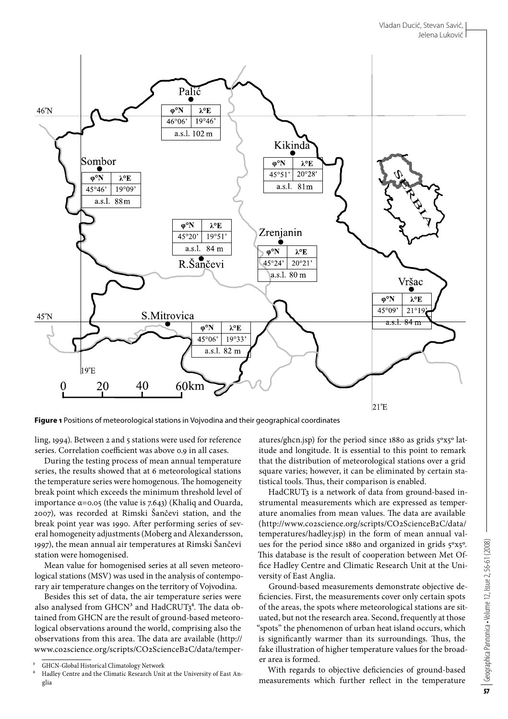

**Figure 1** Positions of meteorological stations in Vojvodina and their geographical coordinates

ling, 1994). Between 2 and 5 stations were used for reference series. Correlation coefficient was above 0.9 in all cases.

During the testing process of mean annual temperature series, the results showed that at 6 meteorological stations the temperature series were homogenous. The homogeneity break point which exceeds the minimum threshold level of importance α=0.05 (the value is 7.643) (Khaliq and Ouarda, 2007), was recorded at Rimski Šančevi station, and the break point year was 1990. After performing series of several homogeneity adjustments (Moberg and Alexandersson, 1997), the mean annual air temperatures at Rimski Šančevi station were homogenised.

Mean value for homogenised series at all seven meteorological stations (MSV) was used in the analysis of contemporary air temperature changes on the territory of Vojvodina.

Besides this set of data, the air temperature series were also analysed from  $GHCN<sup>3</sup>$  and  $HadCRUT<sub>3</sub><sup>4</sup>$ . The data obtained from GHCN are the result of ground-based meteorological observations around the world, comprising also the observations from this area. The data are available (http:// www.co2science.org/scripts/CO2ScienceB2C/data/temperatures/ghcn.jsp) for the period since 1880 as grids 5ºx5º latitude and longitude. It is essential to this point to remark that the distribution of meteorological stations over a grid square varies; however, it can be eliminated by certain statistical tools. Thus, their comparison is enabled.

HadCRUT3 is a network of data from ground-based instrumental measurements which are expressed as temperature anomalies from mean values. The data are available (http://www.co2science.org/scripts/CO2ScienceB2C/data/ temperatures/hadley.jsp) in the form of mean annual values for the period since 1880 and organized in grids 5ºx5º. This database is the result of cooperation between Met Office Hadley Centre and Climatic Research Unit at the University of East Anglia.

Ground-based measurements demonstrate objective deficiencies. First, the measurements cover only certain spots of the areas, the spots where meteorological stations are situated, but not the research area. Second, frequently at those "spots" the phenomenon of urban heat island occurs, which is significantly warmer than its surroundings. Thus, the fake illustration of higher temperature values for the broader area is formed.

With regards to objective deficiencies of ground-based measurements which further reflect in the temperature

<sup>3</sup> GHCN-Global Historical Climatology Network

<sup>4</sup> Hadley Centre and the Climatic Research Unit at the University of East Anglia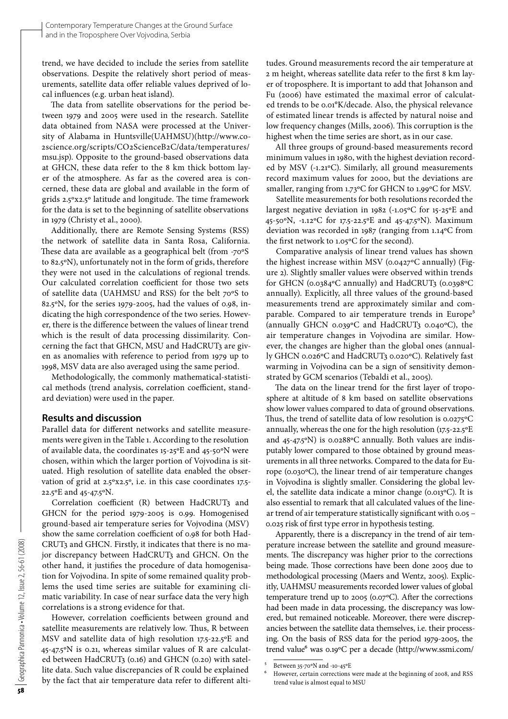trend, we have decided to include the series from satellite observations. Despite the relatively short period of measurements, satellite data offer reliable values deprived of local influences (e.g. urban heat island).

The data from satellite observations for the period between 1979 and 2005 were used in the research. Satellite data obtained from NASA were processed at the University of Alabama in Huntsville(UAHMSU)(http://www.co-2science.org/scripts/CO2ScienceB2C/data/temperatures/ msu.jsp). Opposite to the ground-based observations data at GHCN, these data refer to the 8 km thick bottom layer of the atmosphere. As far as the covered area is concerned, these data are global and available in the form of grids 2.5ºx2.5º latitude and longitude. The time framework for the data is set to the beginning of satellite observations in 1979 (Christy et al., 2000).

Additionally, there are Remote Sensing Systems (RSS) the network of satellite data in Santa Rosa, California. These data are available as a geographical belt (from -70ºS to 82.5ºN), unfortunately not in the form of grids, therefore they were not used in the calculations of regional trends. Our calculated correlation coefficient for those two sets of satellite data (UAHMSU and RSS) for the belt 70ºS to 82.5ºN, for the series 1979-2005, had the values of 0.98, indicating the high correspondence of the two series. However, there is the difference between the values of linear trend which is the result of data processing dissimilarity. Concerning the fact that GHCN, MSU and HadCRUT3 are given as anomalies with reference to period from 1979 up to 1998, MSV data are also averaged using the same period.

Methodologically, the commonly mathematical-statistical methods (trend analysis, correlation coefficient, standard deviation) were used in the paper.

## **Results and discussion**

Parallel data for different networks and satellite measurements were given in the Table 1. According to the resolution of available data, the coordinates 15-25ºE and 45-50ºN were chosen, within which the larger portion of Vojvodina is situated. High resolution of satellite data enabled the observation of grid at 2.5ºx2.5º, i.e. in this case coordinates 17.5- 22.5ºE and 45-47.5ºN.

Correlation coefficient (R) between HadCRUT3 and GHCN for the period 1979-2005 is 0.99. Homogenised ground-based air temperature series for Vojvodina (MSV) show the same correlation coefficient of 0.98 for both Had-CRUT3 and GHCN. Firstly, it indicates that there is no major discrepancy between HadCRUT3 and GHCN. On the other hand, it justifies the procedure of data homogenisation for Vojvodina. In spite of some remained quality problems the used time series are suitable for examining climatic variability. In case of near surface data the very high correlations is a strong evidence for that.

However, correlation coefficients between ground and satellite measurements are relatively low. Thus, R between MSV and satellite data of high resolution 17.5-22.5ºE and 45-47.5ºN is 0.21, whereas similar values of R are calculated between HadCRUT3 (0.16) and GHCN (0.20) with satellite data. Such value discrepancies of R could be explained by the fact that air temperature data refer to different altitudes. Ground measurements record the air temperature at 2 m height, whereas satellite data refer to the first 8 km layer of troposphere. It is important to add that Johanson and Fu (2006) have estimated the maximal error of calculated trends to be 0.01°K/decade. Also, the physical relevance of estimated linear trends is affected by natural noise and low frequency changes (Mills, 2006). This corruption is the highest when the time series are short, as in our case.

All three groups of ground-based measurements record minimum values in 1980, with the highest deviation recorded by MSV (-1.21ºС). Similarly, all ground measurements record maximum values for 2000, but the deviations are smaller, ranging from 1.73ºС for GHCN to 1.99ºС for MSV.

Satellite measurements for both resolutions recorded the largest negative deviation in 1982 (-1.05ºС for 15-25ºE and 45-50ºN, -1.12ºС for 17.5-22.5ºE and 45-47.5ºN). Maximum deviation was recorded in 1987 (ranging from 1.14ºС from the first network to 1.05ºС for the second).

Comparative analysis of linear trend values has shown the highest increase within MSV (0.0427ºС annually) (Figure 2). Slightly smaller values were observed within trends for GHCN (0.0384ºС annually) and HadCRUT3 (0.0398ºС annually). Explicitly, all three values of the ground-based measurements trend are approximately similar and comparable. Compared to air temperature trends in Europe<sup>5</sup> (annually GHCN 0.039ºС and HadCRUT3 0.040ºС), the air temperature changes in Vojvodina are similar. However, the changes are higher than the global ones (annually GHCN 0.026ºС and HadCRUT3 0.020ºС). Relatively fast warming in Vojvodina can be a sign of sensitivity demonstrated by GCM scenarios (Tebaldi et al., 2005).

The data on the linear trend for the first layer of troposphere at altitude of 8 km based on satellite observations show lower values compared to data of ground observations. Thus, the trend of satellite data of low resolution is 0.0275ºС annually, whereas the one for the high resolution (17.5-22.5ºE and 45-47.5ºN) is 0.0288ºС annually. Both values are indisputably lower compared to those obtained by ground measurements in all three networks. Compared to the data for Europe (0.030ºС), the linear trend of air temperature changes in Vojvodina is slightly smaller. Considering the global level, the satellite data indicate a minor change (0.013ºС). It is also essential to remark that all calculated values of the linear trend of air temperature statistically significant with 0.05 – 0.025 risk of first type error in hypothesis testing.

Apparently, there is a discrepancy in the trend of air temperature increase between the satellite and ground measurements. The discrepancy was higher prior to the corrections being made. Those corrections have been done 2005 due to methodological processing (Maers and Wentz, 2005). Explicitly, UAHMSU measurements recorded lower values of global temperature trend up to 2005 (0.07ºС). After the corrections had been made in data processing, the discrepancy was lowered, but remained noticeable. Moreover, there were discrepancies between the satellite data themselves, i.e. their processing. On the basis of RSS data for the period 1979-2005, the trend value<sup>6</sup> was 0.19°C per a decade (http://www.ssmi.com/

<sup>5</sup> Between 35-70ºN and -10-45ºE

However, certain corrections were made at the beginning of 2008, and RSS trend value is almost equal to MSU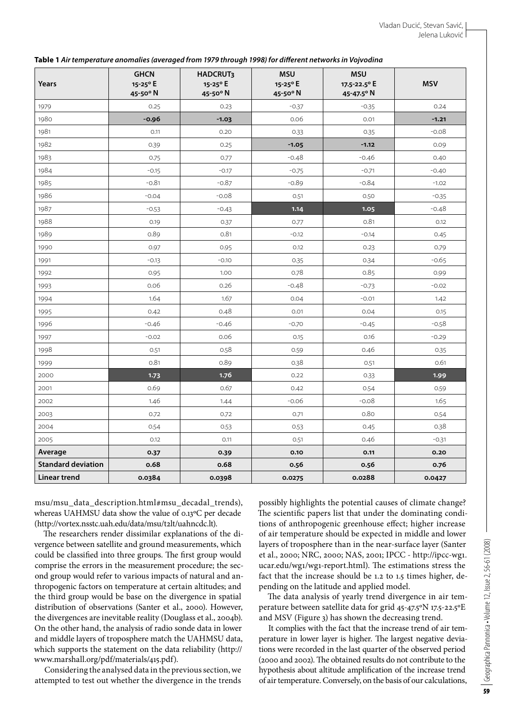| Table 1 Air temperature anomalies (averaged from 1979 through 1998) for different networks in Vojvodina |  |  |  |
|---------------------------------------------------------------------------------------------------------|--|--|--|
|                                                                                                         |  |  |  |

| Years                     | <b>GHCN</b><br>15-25° E<br>45-50° N | <b>HADCRUT3</b><br>15-25° E<br>45-50° N | <b>MSU</b><br>15-25°E<br>45-50° N | <b>MSU</b><br>17.5-22.5° E<br>45-47.5° N | <b>MSV</b> |
|---------------------------|-------------------------------------|-----------------------------------------|-----------------------------------|------------------------------------------|------------|
| 1979                      | 0.25                                | 0.23                                    | $-0.37$                           | $-0.35$                                  | 0.24       |
| 1980                      | $-0.96$                             | $-1.03$                                 | 0.06                              | 0.01                                     | $-1.21$    |
| 1981                      | 0.11                                | 0.20                                    | 0.33                              | 0.35                                     | $-0.08$    |
| 1982                      | 0.39                                | 0.25                                    | $-1.05$                           | $-1.12$                                  | 0.09       |
| 1983                      | 0.75                                | 0.77                                    | $-0.48$                           | $-0.46$                                  | 0.40       |
| 1984                      | $-0.15$                             | $-0.17$                                 | $-0.75$                           | $-0.71$                                  | $-0.40$    |
| 1985                      | $-0.81$                             | $-0.87$                                 | $-0.89$                           | $-0.84$                                  | $-1.02$    |
| 1986                      | $-0.04$                             | $-0.08$                                 | 0.51                              | 0.50                                     | $-0.35$    |
| 1987                      | $-0.53$                             | $-0.43$                                 | 1.14                              | 1.05                                     | $-0.48$    |
| 1988                      | 0.19                                | 0.37                                    | 0.77                              | 0.81                                     | 0.12       |
| 1989                      | 0.89                                | 0.81                                    | $-0.12$                           | $-0.14$                                  | 0.45       |
| 1990                      | 0.97                                | 0.95                                    | 0.12                              | 0.23                                     | 0.79       |
| 1991                      | $-0.13$                             | $-0.10$                                 | 0.35                              | 0.34                                     | $-0.65$    |
| 1992                      | 0.95                                | 1.00                                    | 0.78                              | 0.85                                     | 0.99       |
| 1993                      | 0.06                                | 0.26                                    | $-0.48$                           | $-0.73$                                  | $-0.02$    |
| 1994                      | 1.64                                | 1.67                                    | 0.04                              | $-0.01$                                  | 1.42       |
| 1995                      | 0.42                                | 0.48                                    | 0.01                              | 0.04                                     | 0.15       |
| 1996                      | $-0.46$                             | $-0.46$                                 | $-0.70$                           | $-0.45$                                  | $-0.58$    |
| 1997                      | $-0.02$                             | 0.06                                    | 0.15                              | 0.16                                     | $-0.29$    |
| 1998                      | 0.51                                | 0.58                                    | 0.59                              | 0.46                                     | 0.35       |
| 1999                      | 0.81                                | 0.89                                    | 0.38                              | 0.51                                     | 0.61       |
| 2000                      | 1.73                                | 1.76                                    | 0.22                              | 0.33                                     | 1.99       |
| 2001                      | 0.69                                | 0.67                                    | 0.42                              | 0.54                                     | 0.59       |
| 2002                      | 1.46                                | 1.44                                    | $-0.06$                           | $-0.08$                                  | 1.65       |
| 2003                      | 0.72                                | 0.72                                    | 0.71                              | 0.80                                     | 0.54       |
| 2004                      | 0.54                                | 0.53                                    | 0.53                              | 0.45                                     | 0.38       |
| 2005                      | 0.12                                | 0.11                                    | 0.51                              | 0.46                                     | $-0.31$    |
| Average                   | 0.37                                | 0.39                                    | 0.10                              | 0.11                                     | 0.20       |
| <b>Standard deviation</b> | 0.68                                | 0.68                                    | 0.56                              | 0.56                                     | 0.76       |
| Linear trend              | 0.0384                              | 0.0398                                  | 0.0275                            | 0.0288                                   | 0.0427     |

Geographica Pannonica • Volume 12, Issue 2, 56-61 (2008) 59Geographica Pannonica • Volume 12, Issue 2, 56-61 (2008)

msu/msu\_data\_description.html#msu\_decadal\_trends), whereas UAHMSU data show the value of 0.13°C per decade (http://vortex.nsstc.uah.edu/data/msu/t2lt/uahncdc.lt).

The researchers render dissimilar explanations of the divergence between satellite and ground measurements, which could be classified into three groups. The first group would comprise the errors in the measurement procedure; the second group would refer to various impacts of natural and anthropogenic factors on temperature at certain altitudes; and the third group would be base on the divergence in spatial distribution of observations (Santer et al., 2000). However, the divergences are inevitable reality (Douglass et al., 2004b). On the other hand, the analysis of radio sonde data in lower and middle layers of troposphere match the UAHMSU data, which supports the statement on the data reliability (http:// www.marshall.org/pdf/materials/415.pdf).

Considering the analysed data in the previous section, we attempted to test out whether the divergence in the trends

possibly highlights the potential causes of climate change? The scientific papers list that under the dominating conditions of anthropogenic greenhouse effect; higher increase of air temperature should be expected in middle and lower layers of troposphere than in the near-surface layer (Santer et al., 2000; NRC, 2000; NAS, 2001; IPCC - http://ipcc-wg1. ucar.edu/wg1/wg1-report.html). The estimations stress the fact that the increase should be 1.2 to 1.5 times higher, depending on the latitude and applied model.

The data analysis of yearly trend divergence in air temperature between satellite data for grid 45-47.5ºN 17.5-22.5ºE and MSV (Figure 3) has shown the decreasing trend.

It complies with the fact that the increase trend of air temperature in lower layer is higher. The largest negative deviations were recorded in the last quarter of the observed period (2000 and 2002). The obtained results do not contribute to the hypothesis about altitude amplification of the increase trend of air temperature. Conversely, on the basis of our calculations,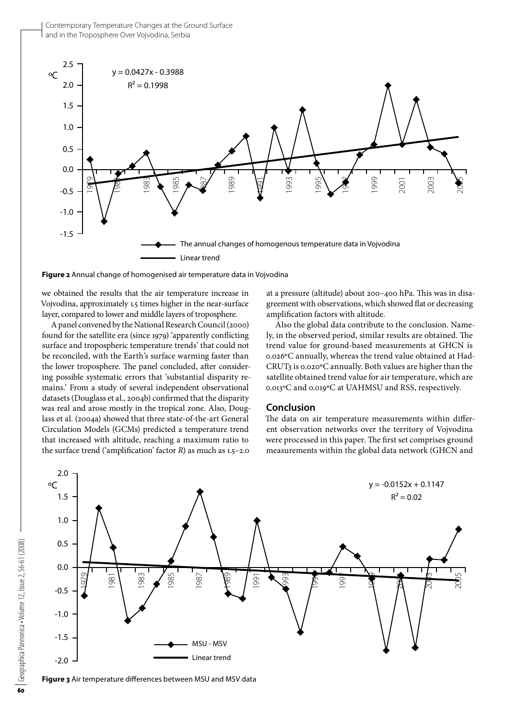

**Figure 2** Annual change of homogenised air temperature data in Vojvodina

we obtained the results that the air temperature increase in Vojvodina, approximately 1.5 times higher in the near-surface layer, compared to lower and middle layers of troposphere.

A panel convened by the National Research Council (2000) found for the satellite era (since 1979) 'apparently conflicting surface and tropospheric temperature trends' that could not be reconciled, with the Earth's surface warming faster than the lower troposphere. The panel concluded, after considering possible systematic errors that 'substantial disparity remains.' From a study of several independent observational datasets (Douglass et al., 2004b) confirmed that the disparity was real and arose mostly in the tropical zone. Also, Douglass et al. (2004a) showed that three state-of-the-art General Circulation Models (GCMs) predicted a temperature trend that increased with altitude, reaching a maximum ratio to the surface trend ('amplification' factor *R*) as much as 1.5–2.0 at a pressure (altitude) about 200–400 hPa. This was in disagreement with observations, which showed flat or decreasing amplification factors with altitude.

Also the global data contribute to the conclusion. Namely, in the observed period, similar results are obtained. The trend value for ground-based measurements at GHCN is 0.026ºС annually, whereas the trend value obtained at Had-CRUT3 is 0.020ºС annually. Both values are higher than the satellite obtained trend value for air temperature, which are 0.013ºС and 0.019ºС at UAHMSU and RSS, respectively.

### **Conclusion**

The data on air temperature measurements within different observation networks over the territory of Vojvodina were processed in this paper. The first set comprises ground measurements within the global data network (GHCN and



**Figure 3** Air temperature differences between MSU and MSV data